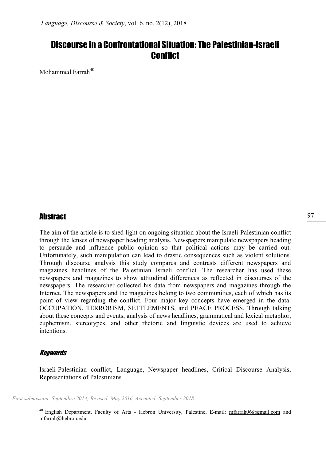# Discourse in a Confrontational Situation: The Palestinian-Israeli Conflict

Mohammed Farrah $40$ 

# Abstract

The aim of the article is to shed light on ongoing situation about the Israeli-Palestinian conflict through the lenses of newspaper heading analysis. Newspapers manipulate newspapers heading to persuade and influence public opinion so that political actions may be carried out. Unfortunately, such manipulation can lead to drastic consequences such as violent solutions. Through discourse analysis this study compares and contrasts different newspapers and magazines headlines of the Palestinian Israeli conflict. The researcher has used these newspapers and magazines to show attitudinal differences as reflected in discourses of the newspapers. The researcher collected his data from newspapers and magazines through the Internet. The newspapers and the magazines belong to two communities, each of which has its point of view regarding the conflict. Four major key concepts have emerged in the data: OCCUPATION, TERRORISM, SETTLEMENTS, and PEACE PROCESS. Through talking about these concepts and events, analysis of news headlines, grammatical and lexical metaphor, euphemism, stereotypes, and other rhetoric and linguistic devices are used to achieve intentions.

### Keywords

-

Israeli-Palestinian conflict, Language, Newspaper headlines, Critical Discourse Analysis, Representations of Palestinians

First submission: Septembre 2014; Revised: May 2016, Accepted: September 2018

<sup>&</sup>lt;sup>40</sup> English Department, Faculty of Arts - Hebron University, Palestine, E-mail: mfarrah06@gmail.com and mfarrah@hebron.edu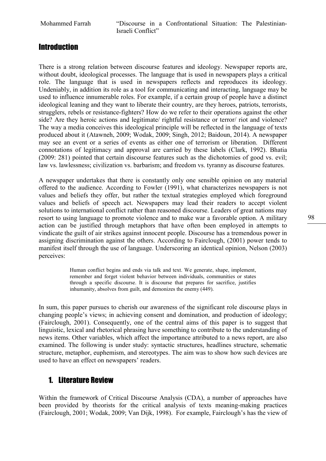# **Introduction**

There is a strong relation between discourse features and ideology. Newspaper reports are, without doubt, ideological processes. The language that is used in newspapers plays a critical role. The language that is used in newspapers reflects and reproduces its ideology. Undeniably, in addition its role as a tool for communicating and interacting, language may be used to influence innumerable roles. For example, if a certain group of people have a distinct ideological leaning and they want to liberate their country, are they heroes, patriots, terrorists, strugglers, rebels or resistance-fighters? How do we refer to their operations against the other side? Are they heroic actions and legitimate/ rightful resistance or terror/ riot and violence? The way a media conceives this ideological principle will be reflected in the language of texts produced about it (Atawneh, 2009; Wodak, 2009; Singh, 2012; Baidoun, 2014). A newspaper may see an event or a series of events as either one of terrorism or liberation. Different connotations of legitimacy and approval are carried by these labels (Clark, 1992). Bhatia (2009: 281) pointed that certain discourse features such as the dichotomies of good vs. evil; law vs. lawlessness; civilization vs. barbarism; and freedom vs. tyranny as discourse features.

A newspaper undertakes that there is constantly only one sensible opinion on any material offered to the audience. According to Fowler (1991), what characterizes newspapers is not values and beliefs they offer, but rather the textual strategies employed which foreground values and beliefs of speech act. Newspapers may lead their readers to accept violent solutions to international conflict rather than reasoned discourse. Leaders of great nations may resort to using language to promote violence and to make war a favorable option. A military action can be justified through metaphors that have often been employed in attempts to vindicate the guilt of air strikes against innocent people. Discourse has a tremendous power in assigning discrimination against the others. According to Fairclough, (2001) power tends to manifest itself through the use of language. Underscoring an identical opinion, Nelson (2003) perceives:

> Human conflict begins and ends via talk and text. We generate, shape, implement, remember and forget violent behavior between individuals, communities or states through a specific discourse. It is discourse that prepares for sacrifice, justifies inhumanity, absolves from guilt, and demonizes the enemy (449).

In sum, this paper pursues to cherish our awareness of the significant role discourse plays in changing people's views; in achieving consent and domination, and production of ideology; (Fairclough, 2001). Consequently, one of the central aims of this paper is to suggest that linguistic, lexical and rhetorical phrasing have something to contribute to the understanding of news items. Other variables, which affect the importance attributed to a news report, are also examined. The following is under study: syntactic structures, headlines structure, schematic structure, metaphor, euphemism, and stereotypes. The aim was to show how such devices are used to have an effect on newspapers' readers.

# 1. Literature Review

Within the framework of Critical Discourse Analysis (CDA), a number of approaches have been provided by theorists for the critical analysis of texts meaning-making practices (Fairclough, 2001; Wodak, 2009; Van Dijk, 1998). For example, Fairclough's has the view of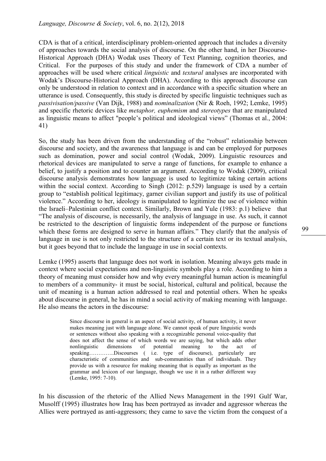CDA is that of a critical, interdisciplinary problem-oriented approach that includes a diversity of approaches towards the social analysis of discourse. On the other hand, in her Discourse-Historical Approach (DHA) Wodak uses Theory of Text Planning, cognition theories, and Critical. For the purposes of this study and under the framework of CDA a number of approaches will be used where critical *linguistic* and *textural* analyses are incorporated with Wodak's Discourse-Historical Approach (DHA). According to this approach discourse can only be understood in relation to context and in accordance with a specific situation where an utterance is used. Consequently, this study is directed by specific linguistic techniques such as passivisation/passive (Van Dijk, 1988) and nominalization (Nir & Roeh, 1992; Lemke, 1995) and specific rhetoric devices like metaphor, euphemism and stereotypes that are manipulated as linguistic means to affect "people's political and ideological views" (Thomas et al., 2004: 41)

So, the study has been driven from the understanding of the "robust" relationship between discourse and society, and the awareness that language is and can be employed for purposes such as domination, power and social control (Wodak, 2009). Linguistic resources and rhetorical devices are manipulated to serve a range of functions, for example to enhance a belief, to justify a position and to counter an argument. According to Wodak (2009), critical discourse analysis demonstrates how language is used to legitimize taking certain actions within the social context. According to Singh (2012: p.529) language is used by a certain group to "establish political legitimacy, garner civilian support and justify its use of political violence." According to her, ideology is manipulated to legitimize the use of violence within the Israeli–Palestinian conflict context. Similarly, Brown and Yule (1983: p.1) believe that "The analysis of discourse, is necessarily, the analysis of language in use. As such, it cannot be restricted to the description of linguistic forms independent of the purpose or functions which these forms are designed to serve in human affairs." They clarify that the analysis of language in use is not only restricted to the structure of a certain text or its textual analysis, but it goes beyond that to include the language in use in social contexts.

Lemke (1995) asserts that language does not work in isolation. Meaning always gets made in context where social expectations and non-linguistic symbols play a role. According to him a theory of meaning must consider how and why every meaningful human action is meaningful to members of a community- it must be social, historical, cultural and political, because the unit of meaning is a human action addressed to real and potential others. When he speaks about discourse in general, he has in mind a social activity of making meaning with language. He also means the actors in the discourse:

> Since discourse in general is an aspect of social activity, of human activity, it never makes meaning just with language alone. We cannot speak of pure linguistic words or sentences without also speaking with a recognizable personal voice-quality that does not affect the sense of which words we are saying, but which adds other nonlinguistic dimensions of potential meaning to the act of nonlinguistic dimensions of potential meaning to the act of speaking…………..Discourses ( i.e. type of discourse), particularly are characteristic of communities and sub-communities than of individuals. They provide us with a resource for making meaning that is equally as important as the grammar and lexicon of our language, though we use it in a rather different way (Lemke, 1995: 7-10).

In his discussion of the rhetoric of the Allied News Management in the 1991 Gulf War, Musolff (1995) illustrates how Iraq has been portrayed as invader and aggressor whereas the Allies were portrayed as anti-aggressors; they came to save the victim from the conquest of a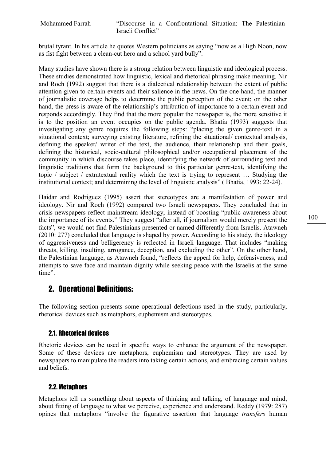Mohammed Farrah "Discourse in a Confrontational Situation: The Palestinian-Israeli Conflict"

brutal tyrant. In his article he quotes Western politicians as saying "now as a High Noon, now as fist fight between a clean-cut hero and a school yard bully".

Many studies have shown there is a strong relation between linguistic and ideological process. These studies demonstrated how linguistic, lexical and rhetorical phrasing make meaning. Nir and Roeh (1992) suggest that there is a dialectical relationship between the extent of public attention given to certain events and their salience in the news. On the one hand, the manner of journalistic coverage helps to determine the public perception of the event; on the other hand, the press is aware of the relationship's attribution of importance to a certain event and responds accordingly. They find that the more popular the newspaper is, the more sensitive it is to the position an event occupies on the public agenda. Bhatia (1993) suggests that investigating any genre requires the following steps: "placing the given genre-text in a situational context; surveying existing literature, refining the situational/ contextual analysis, defining the speaker/ writer of the text, the audience, their relationship and their goals, defining the historical, socio-cultural philosophical and/or occupational placement of the community in which discourse takes place, identifying the network of surrounding text and linguistic traditions that form the background to this particular genre-text, identifying the topic / subject / extratextual reality which the text is trying to represent … Studying the institutional context; and determining the level of linguistic analysis" ( Bhatia, 1993: 22-24).

Haidar and Rodriguez (1995) assert that stereotypes are a manifestation of power and ideology. Nir and Roeh (1992) compared two Israeli newspapers. They concluded that in crisis newspapers reflect mainstream ideology, instead of boosting "public awareness about the importance of its events." They suggest "after all, if journalism would merely present the facts", we would not find Palestinians presented or named differently from Israelis. Atawneh (2010: 277) concluded that language is shaped by power. According to his study, the ideology of aggressiveness and belligerency is reflected in Israeli language. That includes "making threats, killing, insulting, arrogance, deception, and excluding the other". On the other hand, the Palestinian language, as Atawneh found, "reflects the appeal for help, defensiveness, and attempts to save face and maintain dignity while seeking peace with the Israelis at the same time".

# 2. Operational Definitions:

The following section presents some operational defections used in the study, particularly, rhetorical devices such as metaphors, euphemism and stereotypes.

### 2.1. Rhetorical devices

Rhetoric devices can be used in specific ways to enhance the argument of the newspaper. Some of these devices are metaphors, euphemism and stereotypes. They are used by newspapers to manipulate the readers into taking certain actions, and embracing certain values and beliefs.

# 2.2.Metaphors

Metaphors tell us something about aspects of thinking and talking, of language and mind, about fitting of language to what we perceive, experience and understand. Reddy (1979: 287) opines that metaphors "involve the figurative assertion that language transfers human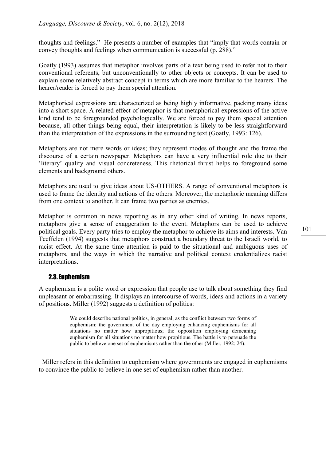thoughts and feelings." He presents a number of examples that "imply that words contain or convey thoughts and feelings when communication is successful (p. 288)."

Goatly (1993) assumes that metaphor involves parts of a text being used to refer not to their conventional referents, but unconventionally to other objects or concepts. It can be used to explain some relatively abstract concept in terms which are more familiar to the hearers. The hearer/reader is forced to pay them special attention.

Metaphorical expressions are characterized as being highly informative, packing many ideas into a short space. A related effect of metaphor is that metaphorical expressions of the active kind tend to be foregrounded psychologically. We are forced to pay them special attention because, all other things being equal, their interpretation is likely to be less straightforward than the interpretation of the expressions in the surrounding text (Goatly, 1993: 126).

Metaphors are not mere words or ideas; they represent modes of thought and the frame the discourse of a certain newspaper. Metaphors can have a very influential role due to their 'literary' quality and visual concreteness. This rhetorical thrust helps to foreground some elements and background others.

Metaphors are used to give ideas about US-OTHERS. A range of conventional metaphors is used to frame the identity and actions of the others. Moreover, the metaphoric meaning differs from one context to another. It can frame two parties as enemies.

Metaphor is common in news reporting as in any other kind of writing. In news reports, metaphors give a sense of exaggeration to the event. Metaphors can be used to achieve political goals. Every party tries to employ the metaphor to achieve its aims and interests. Van Teeffelen (1994) suggests that metaphors construct a boundary threat to the Israeli world, to racist effect. At the same time attention is paid to the situational and ambiguous uses of metaphors, and the ways in which the narrative and political context credentializes racist interpretations.

### 2.3. Euphemism

A euphemism is a polite word or expression that people use to talk about something they find unpleasant or embarrassing. It displays an intercourse of words, ideas and actions in a variety of positions. Miller (1992) suggests a definition of politics:

> We could describe national politics, in general, as the conflict between two forms of euphemism: the government of the day employing enhancing euphemisms for all situations no matter how unpropitious; the opposition employing demeaning euphemism for all situations no matter how propitious. The battle is to persuade the public to believe one set of euphemisms rather than the other (Miller, 1992: 24).

 Miller refers in this definition to euphemism where governments are engaged in euphemisms to convince the public to believe in one set of euphemism rather than another.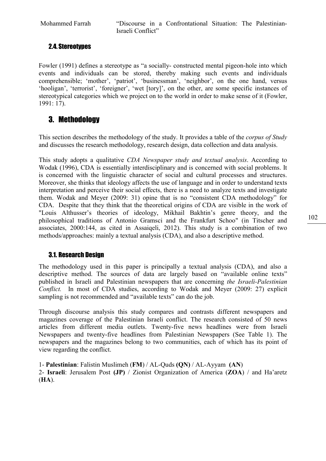Mohammed Farrah "Discourse in a Confrontational Situation: The Palestinian-Israeli Conflict"

# 2.4. Stereotypes

Fowler (1991) defines a stereotype as "a socially- constructed mental pigeon-hole into which events and individuals can be stored, thereby making such events and individuals comprehensible; 'mother', 'patriot', 'businessman', 'neighbor', on the one hand, versus 'hooligan', 'terrorist', 'foreigner', 'wet [tory]', on the other, are some specific instances of stereotypical categories which we project on to the world in order to make sense of it (Fowler, 1991: 17).

# 3. Methodology

This section describes the methodology of the study. It provides a table of the *corpus of Study* and discusses the research methodology, research design, data collection and data analysis.

This study adopts a qualitative CDA Newspaper study and textual analysis. According to Wodak (1996), CDA is essentially interdisciplinary and is concerned with social problems. It is concerned with the linguistic character of social and cultural processes and structures. Moreover, she thinks that ideology affects the use of language and in order to understand texts interpretation and perceive their social effects, there is a need to analyze texts and investigate them. Wodak and Meyer (2009: 31) opine that is no "consistent CDA methodology" for CDA. Despite that they think that the theoretical origins of CDA are visible in the work of "Louis Althusser's theories of ideology, Mikhail Bakhtin's genre theory, and the philosophical traditions of Antonio Gramsci and the Frankfurt Schoo" (in Titscher and associates, 2000:144, as cited in Assaiqeli, 2012). This study is a combination of two methods/approaches: mainly a textual analysis (CDA), and also a descriptive method.

# 3.1. Research Design

The methodology used in this paper is principally a textual analysis (CDA), and also a descriptive method. The sources of data are largely based on "available online texts" published in Israeli and Palestinian newspapers that are concerning the Israeli-Palestinian Conflict. In most of CDA studies, according to Wodak and Meyer (2009: 27) explicit sampling is not recommended and "available texts" can do the job.

Through discourse analysis this study compares and contrasts different newspapers and magazines coverage of the Palestinian Israeli conflict. The research consisted of 50 news articles from different media outlets. Twenty-five news headlines were from Israeli Newspapers and twenty-five headlines from Palestinian Newspapers (See Table 1). The newspapers and the magazines belong to two communities, each of which has its point of view regarding the conflict.

1- Palestinian: Falistin Muslimeh (FM) / AL-Quds (QN) / AL-Ayyam (AN)

2- Israeli: Jerusalem Post (JP) / Zionist Organization of America (ZOA) / and Ha'aretz (HA).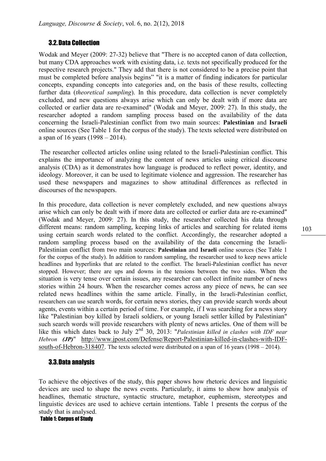### 3.2.Data Collection

Wodak and Meyer (2009: 27-32) believe that "There is no accepted canon of data collection, but many CDA approaches work with existing data, i.e. texts not specifically produced for the respective research projects." They add that there is not considered to be a precise point that must be completed before analysis begins" "it is a matter of finding indicators for particular concepts, expanding concepts into categories and, on the basis of these results, collecting further data *(theoretical sampling)*. In this procedure, data collection is never completely excluded, and new questions always arise which can only be dealt with if more data are collected or earlier data are re-examined" (Wodak and Meyer, 2009: 27). In this study, the researcher adopted a random sampling process based on the availability of the data concerning the Israeli-Palestinian conflict from two main sources: Palestinian and Israeli online sources (See Table 1 for the corpus of the study). The texts selected were distributed on a span of 16 years (1998 – 2014).

The researcher collected articles online using related to the Israeli-Palestinian conflict. This explains the importance of analyzing the content of news articles using critical discourse analysis (CDA) as it demonstrates how language is produced to reflect power, identity, and ideology. Moreover, it can be used to legitimate violence and aggression. The researcher has used these newspapers and magazines to show attitudinal differences as reflected in discourses of the newspapers.

In this procedure, data collection is never completely excluded, and new questions always arise which can only be dealt with if more data are collected or earlier data are re-examined" (Wodak and Meyer, 2009: 27). In this study, the researcher collected his data through different means: random sampling, keeping links of articles and searching for related items using certain search words related to the conflict. Accordingly, the researcher adopted a random sampling process based on the availability of the data concerning the Israeli-Palestinian conflict from two main sources: Palestinian and Israeli online sources (See Table 1 for the corpus of the study). In addition to random sampling, the researcher used to keep news article headlines and hyperlinks that are related to the conflict. The Israeli-Palestinian conflict has never stopped. However; there are ups and downs in the tensions between the two sides. When the situation is very tense over certain issues, any researcher can collect infinite number of news stories within 24 hours. When the researcher comes across any piece of news, he can see related news headlines within the same article. Finally, in the Israeli-Palestinian conflict, researchers can use search words, for certain news stories, they can provide search words about agents, events within a certain period of time. For example, if I was searching for a news story like "Palestinian boy killed by Israeli soldiers, or young Israeli settler killed by Palestinian" such search words will provide researchers with plenty of news articles. One of them will be like this which dates back to July  $2<sup>nd</sup>$  30, 2013: "Palestinian killed in clashes with IDF near Hebron (JP)" http://www.jpost.com/Defense/Report-Palestinian-killed-in-clashes-with-IDFsouth-of-Hebron-318407. The texts selected were distributed on a span of 16 years (1998 – 2014).

### 3.3.Data analysis

To achieve the objectives of the study, this paper shows how rhetoric devices and linguistic devices are used to shape the news events. Particularly, it aims to show how analysis of headlines, thematic structure, syntactic structure, metaphor, euphemism, stereotypes and linguistic devices are used to achieve certain intentions. Table 1 presents the corpus of the study that is analysed.

Table 1: Corpus of Study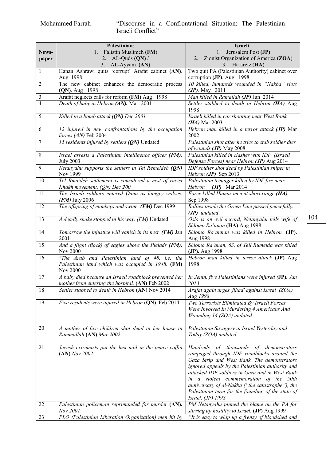## Mohammed Farrah "Discourse in a Confrontational Situation: The Palestinian-Israeli Conflict"

|                | Palestinian:                                                                                                    | Israeli:                                                                                                                                                                                                                                                                                                                                                                                                                |
|----------------|-----------------------------------------------------------------------------------------------------------------|-------------------------------------------------------------------------------------------------------------------------------------------------------------------------------------------------------------------------------------------------------------------------------------------------------------------------------------------------------------------------------------------------------------------------|
| News-          | 1. Falistin Muslimeh (FM)                                                                                       | Jerusalem Post (JP)<br>1.                                                                                                                                                                                                                                                                                                                                                                                               |
| paper          | 2. AL-Quds $(QN)$ /                                                                                             | 2. Zionist Organization of America (ZOA)                                                                                                                                                                                                                                                                                                                                                                                |
|                | 3. AL-Ayyam (AN)                                                                                                | 3. Ha'aretz $(HA)$                                                                                                                                                                                                                                                                                                                                                                                                      |
| $\mathbf{1}$   | Hanan Ashrawi quits 'corrupt' Arafat cabinet (AN).                                                              | Two quit PA (Palestinian Authority) cabinet over                                                                                                                                                                                                                                                                                                                                                                        |
|                | Aug 1998                                                                                                        | corruption (JP). Aug 1998                                                                                                                                                                                                                                                                                                                                                                                               |
| $\overline{2}$ | The new cabinet enhances the democratic process                                                                 | 10 killed, hundreds wounded in "Nakba" riots                                                                                                                                                                                                                                                                                                                                                                            |
|                | (QN). Aug 1998                                                                                                  | $(JP)$ . May 2011                                                                                                                                                                                                                                                                                                                                                                                                       |
| $\mathfrak{Z}$ | Arafat neglects calls for reform (FM) Aug 1998                                                                  | Man killed in Ramallah (JP) Jun 2014                                                                                                                                                                                                                                                                                                                                                                                    |
| $\overline{4}$ | Death of baby in Hebron (AN). Mar 2001                                                                          | Settler stabbed to death in Hebron (HA) Aug<br>1998                                                                                                                                                                                                                                                                                                                                                                     |
| 5              | Killed in a bomb attack $(QN)$ Dec 2001                                                                         | Israeli killed in car shooting near West Bank<br>$(HA)$ Mar 2003                                                                                                                                                                                                                                                                                                                                                        |
| 6              | 12 injured in new confrontations by the occupation<br>forces (AN) Feb 2004                                      | Hebron man killed in a terror attack (JP) Mar<br>2002                                                                                                                                                                                                                                                                                                                                                                   |
| 7              | 15 residents injured by settlers (QN) Undated                                                                   | Palestinian shot after he tries to stab soldier dies<br>of wounds (JP) May 2008                                                                                                                                                                                                                                                                                                                                         |
| 8              | Israel arrests a Palestinian intelligence officer (FM).<br><b>July 2003</b>                                     | Palestinian killed in clashes with IDF (Israeli<br>Defense Forces) near Hebron (JP) Aug 2014                                                                                                                                                                                                                                                                                                                            |
| 9              | Netanyahu supports the settlers in Tel Remeideh (QN)<br>Nov 1999                                                | IDF soldier shot dead by Palestinian sniper in<br>Hebron (JP) Sep 2013                                                                                                                                                                                                                                                                                                                                                  |
| 10             | Tel Rmaideh settlement is considered a nest of racist<br>Khakh movement. (QN) Dec 200                           | Palestinian teenager killed by IDF fire near<br>Hebron $(JP)$ Mar 2014                                                                                                                                                                                                                                                                                                                                                  |
| 11             | The Israeli soldiers entered Qana as hungry wolves.<br>$(FM)$ July 2006                                         | Force killed Hamas men at short range (HA)<br>Sep 1998                                                                                                                                                                                                                                                                                                                                                                  |
| 12             | The offspring of monkeys and swine. (FM) Dec 1999                                                               | Rallies inside the Green Line passed peacefully.<br>(JP) undated                                                                                                                                                                                                                                                                                                                                                        |
| 13             | A deadly snake stopped in his way. (FM) Undated                                                                 | Oslo is an evil accord, Netanyahu tells wife of<br>Shlomo Ra'anan (HA) Aug 1998                                                                                                                                                                                                                                                                                                                                         |
| 14             | Tomorrow the injustice will vanish in its nest. (FM) Jan<br>2001                                                | Shlomo Ra'annan was killed in Hebron. (JP).<br>Aug 1998                                                                                                                                                                                                                                                                                                                                                                 |
| 15             | And a flight (flock) of eagles above the Pleiads (FM).<br><b>Nov 2000</b>                                       | Shlomo Ra'anan, 63, of Tell Rumeida was killed<br>(JP). Aug 1998                                                                                                                                                                                                                                                                                                                                                        |
| 16             | "The Arab and Palestinian land of 48. i.e. the<br>Palestinian land which was occupied in 1948. (FM)<br>Nov 2000 | Hebron man killed in terror attack (JP) Aug<br>1998                                                                                                                                                                                                                                                                                                                                                                     |
| 17             | A baby died because an Israeli roadblock prevented her<br>mother from entering the hospital. (AN) Feb 2002      | In Jenin, five Palestinians were injured (JP). Jan<br>2013                                                                                                                                                                                                                                                                                                                                                              |
| 18             | Settler stabbed to death in Hebron (AN) Nov 2014                                                                | Arafat again urges 'jihad' against Isreal (ZOA)<br>Aug 1998                                                                                                                                                                                                                                                                                                                                                             |
| 19             | Five residents were injured in Hebron (QN). Feb 2014                                                            | Two Terrorists Eliminated By Israeli Forces<br>Were Involved In Murdering 4 Americans And<br>Wounding 14 (ZOA) undated                                                                                                                                                                                                                                                                                                  |
| 20             | A mother of five children shot dead in her house in<br>Rammallah (AN) Mar 2002                                  | Palestinian Savagery in Israel Yesterday and<br>Today (ZOA) undated                                                                                                                                                                                                                                                                                                                                                     |
| 21             | Jewish extremists put the last nail in the peace coffin<br>$(AN)$ Nov 2002                                      | Hundreds of thousands<br>demonstrators<br>of<br>rampaged through IDF roadblocks around the<br>Gaza Strip and West Bank. The demonstrators<br>ignored appeals by the Palestinian authority and<br>attacked IDF soldiers in Gaza and in West Bank<br>in a violent commemoration of the 50th<br>anniversary of al-Nakba ("the catastrophe"), the<br>Palestinian term for the founding of the state of<br>Israel. (JP) 1998 |
| 22             | Palestinian policeman reprimanded for murder (AN).                                                              | PM Netanyahu pinned the blame on the PA for                                                                                                                                                                                                                                                                                                                                                                             |
|                | Nov 2001                                                                                                        | stirring up hostility to Israel. (JP) Aug 1999                                                                                                                                                                                                                                                                                                                                                                          |
| 23             | PLO (Palestinian Liberation Organization) men hit by                                                            | "It is easy to whip up a frenzy of bloodshed and                                                                                                                                                                                                                                                                                                                                                                        |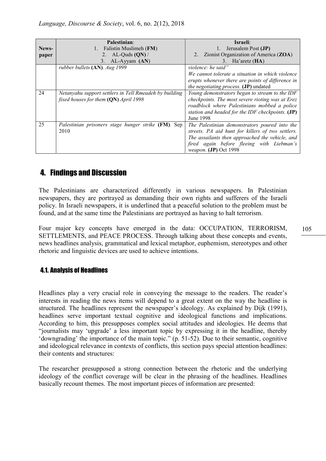|       | <b>Palestinian:</b>                                    | <b>Israeli:</b>                                   |
|-------|--------------------------------------------------------|---------------------------------------------------|
| News- | Falistin Muslimeh (FM)                                 | Jerusalem Post (JP)                               |
| paper | AL-Quds $(QN)$ /<br>2.                                 | Zionist Organization of America (ZOA)<br>2.       |
|       | 3. AL-Ayyam (AN)                                       | 3. Ha'aretz $(HA)$                                |
|       | rubber bullets (AN). Aug 1999                          | violence: he said"                                |
|       |                                                        | We cannot tolerate a situation in which violence  |
|       |                                                        | erupts whenever there are points of difference in |
|       |                                                        | <i>the negotiating process.</i> (JP) undated      |
| 24    | Netanyahu support settlers in Tell Rmeadeh by building | Young demonstrators began to stream to the IDF    |
|       | fixed houses for them (QN) April 1998                  | checkpoints. The most severe rioting was at Erez  |
|       |                                                        | roadblock where Palestinians mobbed a police      |
|       |                                                        | station and headed for the IDF checkpoints. (JP)  |
|       |                                                        | June 1998                                         |
| 25    | Palestinian prisoners stage hunger strike (FM). Sep    | The Palestinian demonstrators poured into the     |
|       | 2010                                                   | streets. PA aid hunt for killers of two settlers. |
|       |                                                        | The assailants then approached the vehicle, and   |
|       |                                                        | fired again before fleeing with Liebman's         |
|       |                                                        | weapon. (JP) Oct 1998                             |

# 4. Findings and Discussion

The Palestinians are characterized differently in various newspapers. In Palestinian newspapers, they are portrayed as demanding their own rights and sufferers of the Israeli policy. In Israeli newspapers, it is underlined that a peaceful solution to the problem must be found, and at the same time the Palestinians are portrayed as having to halt terrorism.

Four major key concepts have emerged in the data: OCCUPATION, TERRORISM, SETTLEMENTS, and PEACE PROCESS. Through talking about these concepts and events, news headlines analysis, grammatical and lexical metaphor, euphemism, stereotypes and other rhetoric and linguistic devices are used to achieve intentions.

# 4.1. Analysis of Headlines

Headlines play a very crucial role in conveying the message to the readers. The reader's interests in reading the news items will depend to a great extent on the way the headline is structured. The headlines represent the newspaper's ideology. As explained by Dijk (1991), headlines serve important textual cognitive and ideological functions and implications. According to him, this presupposes complex social attitudes and ideologies. He deems that "journalists may 'upgrade' a less important topic by expressing it in the headline, thereby 'downgrading' the importance of the main topic." (p. 51-52). Due to their semantic, cognitive and ideological relevance in contexts of conflicts, this section pays special attention headlines: their contents and structures:

The researcher presupposed a strong connection between the rhetoric and the underlying ideology of the conflict coverage will be clear in the phrasing of the headlines. Headlines basically recount themes. The most important pieces of information are presented: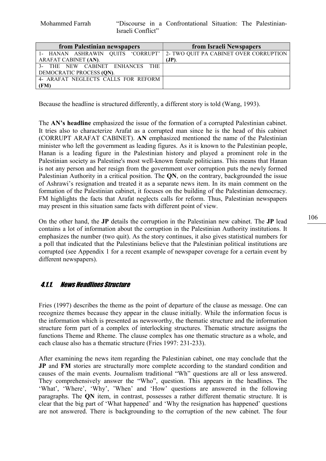Mohammed Farrah "Discourse in a Confrontational Situation: The Palestinian-Israeli Conflict"

| from Palestinian newspapers         | from Israeli Newspapers                                                  |
|-------------------------------------|--------------------------------------------------------------------------|
|                                     | 1- HANAN ASHRAWIN QUITS 'CORRUPT' 2- TWO QUIT PA CABINET OVER CORRUPTION |
| ARAFAT CABINET (AN).                | (JP)                                                                     |
| 3- THE NEW CABINET ENHANCES THE     |                                                                          |
| DEMOCRATIC PROCESS (QN).            |                                                                          |
| 4- ARAFAT NEGLECTS CALLS FOR REFORM |                                                                          |
| (FM)                                |                                                                          |

Because the headline is structured differently, a different story is told (Wang, 1993).

The AN's headline emphasized the issue of the formation of a corrupted Palestinian cabinet. It tries also to characterize Arafat as a corrupted man since he is the head of this cabinet (CORRUPT ARAFAT CABINET). AN emphasized mentioned the name of the Palestinian minister who left the government as leading figures. As it is known to the Palestinian people, Hanan is a leading figure in the Palestinian history and played a prominent role in the Palestinian society as Palestine's most well-known female politicians. This means that Hanan is not any person and her resign from the government over corruption puts the newly formed Palestinian Authority in a critical position. The QN, on the contrary, backgrounded the issue of Ashrawi's resignation and treated it as a separate news item. In its main comment on the formation of the Palestinian cabinet, it focuses on the building of the Palestinian democracy. FM highlights the facts that Arafat neglects calls for reform. Thus, Palestinian newspapers may present in this situation same facts with different point of view.

On the other hand, the JP details the corruption in the Palestinian new cabinet. The JP lead contains a lot of information about the corruption in the Palestinian Authority institutions. It emphasizes the number (two quit). As the story continues, it also gives statistical numbers for a poll that indicated that the Palestinians believe that the Palestinian political institutions are corrupted (see Appendix 1 for a recent example of newspaper coverage for a certain event by different newspapers).

### 4.1.1. News Headlines Structure

Fries (1997) describes the theme as the point of departure of the clause as message. One can recognize themes because they appear in the clause initially. While the information focus is the information which is presented as newsworthy, the thematic structure and the information structure form part of a complex of interlocking structures. Thematic structure assigns the functions Theme and Rheme. The clause complex has one thematic structure as a whole, and each clause also has a thematic structure (Fries 1997: 231-233).

After examining the news item regarding the Palestinian cabinet, one may conclude that the JP and FM stories are structurally more complete according to the standard condition and causes of the main events. Journalism traditional "Wh" questions are all or less answered. They comprehensively answer the "Who", question. This appears in the headlines. The 'What', 'Where', 'Why', 'When' and 'How' questions are answered in the following paragraphs. The QN item, in contrast, possesses a rather different thematic structure. It is clear that the big part of 'What happened' and 'Why the resignation has happened' questions are not answered. There is backgrounding to the corruption of the new cabinet. The four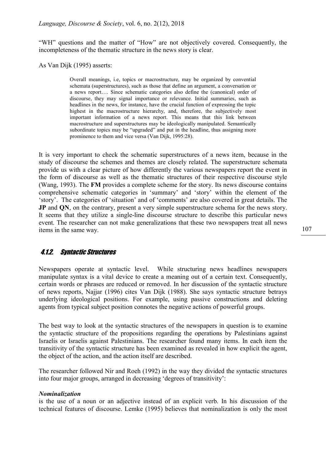"WH" questions and the matter of "How" are not objectively covered. Consequently, the incompleteness of the thematic structure in the news story is clear.

As Van Dijk (1995) asserts:

Overall meanings, i.e, topics or macrostructure, may be organized by convential schemata (superstructures), such as those that define an argument, a conversation or a news report…. Since schematic categories also define the (canonical) order of discourse, they may signal importance or relevance. Initial summaries, such as headlines in the news, for instance, have the crucial function of expressing the topic highest in the macrostructure hierarchy, and, therefore, the subjectively most important information of a news report. This means that this link between macrostructure and superstructures may be ideologically manipulated. Semantically subordinate topics may be "upgraded" and put in the headline, thus assigning more prominence to them and vice versa (Van Dijk, 1995:28).

It is very important to check the schematic superstructures of a news item, because in the study of discourse the schemes and themes are closely related. The superstructure schemata provide us with a clear picture of how differently the various newspapers report the event in the form of discourse as well as the thematic structures of their respective discourse style (Wang, 1993). The FM provides a complete scheme for the story. Its news discourse contains comprehensive schematic categories in 'summary' and 'story' within the element of the 'story'. The categories of 'situation' and of 'comments' are also covered in great details. The JP and QN, on the contrary, present a very simple superstructure schema for the news story. It seems that they utilize a single-line discourse structure to describe this particular news event. The researcher can not make generalizations that these two newspapers treat all news items in the same way.

### 4.1.2. Syntactic Structures

Newspapers operate at syntactic level. While structuring news headlines newspapers manipulate syntax is a vital device to create a meaning out of a certain text. Consequently, certain words or phrases are reduced or removed. In her discussion of the syntactic structure of news reports, Najjar (1996) cites Van Dijk (1988). She says syntactic structure betrays underlying ideological positions. For example, using passive constructions and deleting agents from typical subject position connotes the negative actions of powerful groups.

The best way to look at the syntactic structures of the newspapers in question is to examine the syntactic structure of the propositions regarding the operations by Palestinians against Israelis or Israelis against Palestinians. The researcher found many items. In each item the transitivity of the syntactic structure has been examined as revealed in how explicit the agent, the object of the action, and the action itself are described.

The researcher followed Nir and Roeh (1992) in the way they divided the syntactic structures into four major groups, arranged in decreasing 'degrees of transitivity':

#### Nominalization

is the use of a noun or an adjective instead of an explicit verb. In his discussion of the technical features of discourse. Lemke (1995) believes that nominalization is only the most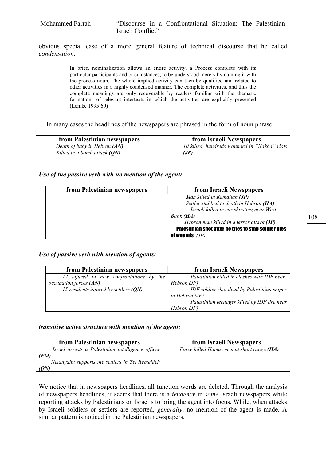obvious special case of a more general feature of technical discourse that he called condensation:

> In brief, nominalization allows an entire activity, a Process complete with its particular participants and circumstances, to be understood merely by naming it with the process noun. The whole implied activity can then be qualified and related to other activities in a highly condensed manner. The complete activities, and thus the complete meanings are only recoverable by readers familiar with the thematic formations of relevant intertexts in which the activities are explicitly presented (Lemke 1995:60)

In many cases the headlines of the newspapers are phrased in the form of noun phrase:

| from Palestinian newspapers  | from Israeli Newspapers                      |
|------------------------------|----------------------------------------------|
| Death of baby in Hebron (AN) | 10 killed, hundreds wounded in "Nakba" riots |
| Killed in a bomb attack (QN) | (JP)                                         |

#### Use of the passive verb with no mention of the agent:

| from Palestinian newspapers | from Israeli Newspapers                              |
|-----------------------------|------------------------------------------------------|
|                             | Man killed in Ramallah (JP)                          |
|                             | Settler stabbed to death in Hebron (HA)              |
|                             | Israeli killed in car shooting near West             |
|                             | Bank (HA)                                            |
|                             | Hebron man killed in a terror attack (JP)            |
|                             | Palestinian shot after he tries to stab soldier dies |
|                             | of wounds $(JP)$                                     |

#### Use of passive verb with mention of agents:

| from Palestinian newspapers             | from Israeli Newspapers                      |
|-----------------------------------------|----------------------------------------------|
| 12 injured in new confrontations by the | Palestinian killed in clashes with IDF near  |
| occupation forces (AN)                  | Hebron(JP)                                   |
| 15 residents injured by settlers $(QN)$ | IDF soldier shot dead by Palestinian sniper  |
|                                         | in Hebron $(JP)$                             |
|                                         | Palestinian teenager killed by IDF fire near |
|                                         | Hebron (JP)                                  |

### transitive active structure with mention of the agent:

| from Palestinian newspapers                                     | from Israeli Newspapers                    |
|-----------------------------------------------------------------|--------------------------------------------|
| Israel arrests a Palestinian intelligence officer               | Force killed Hamas men at short range (HA) |
| (FM)<br>Netanyahu supports the settlers in Tel Remeideh<br>(QN) |                                            |

We notice that in newspapers headlines, all function words are deleted. Through the analysis of newspapers headlines, it seems that there is a tendency in some Israeli newspapers while reporting attacks by Palestinians on Israelis to bring the agent into focus. While, when attacks by Israeli soldiers or settlers are reported, generally, no mention of the agent is made. A similar pattern is noticed in the Palestinian newspapers.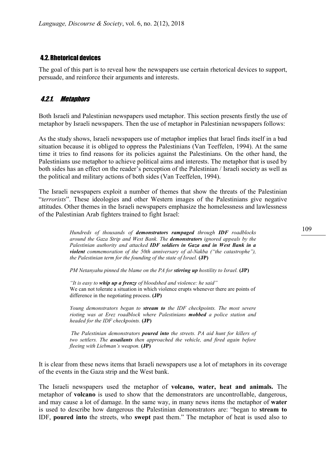## 4.2.Rhetorical devices

The goal of this part is to reveal how the newspapers use certain rhetorical devices to support, persuade, and reinforce their arguments and interests.

# 4.2.1. Metaphors

Both Israeli and Palestinian newspapers used metaphor. This section presents firstly the use of metaphor by Israeli newspapers. Then the use of metaphor in Palestinian newspapers follows:

As the study shows, Israeli newspapers use of metaphor implies that Israel finds itself in a bad situation because it is obliged to oppress the Palestinians (Van Teeffelen, 1994). At the same time it tries to find reasons for its policies against the Palestinians. On the other hand, the Palestinians use metaphor to achieve political aims and interests. The metaphor that is used by both sides has an effect on the reader's perception of the Palestinian / Israeli society as well as the political and military actions of both sides (Van Teeffelen, 1994).

The Israeli newspapers exploit a number of themes that show the threats of the Palestinian "terrorists". These ideologies and other Western images of the Palestinians give negative attitudes. Other themes in the Israeli newspapers emphasize the homelessness and lawlessness of the Palestinian Arab fighters trained to fight Israel:

> Hundreds of thousands of **demonstrators rampaged** through **IDF** roadblocks around the Gaza Strip and West Bank. The demonstrators ignored appeals by the Palestinian authority and attacked IDF soldiers in Gaza and in West Bank in a violent commemoration of the 50th anniversary of al-Nakba ("the catastrophe"), the Palestinian term for the founding of the state of Israel.  $(JP)$

PM Netanyahu pinned the blame on the PA for stirring up hostility to Israel. (JP)

"It is easy to whip up a frenzy of bloodshed and violence: he said" We can not tolerate a situation in which violence erupts whenever there are points of difference in the negotiating process. (JP)

Young demonstrators began to stream to the IDF checkpoints. The most severe rioting was at Erez roadblock where Palestinians **mobbed** a police station and headed for the IDF checkpoints. (JP)

The Palestinian demonstrators **poured into** the streets. PA aid hunt for killers of two settlers. The **assailants** then approached the vehicle, and fired again before fleeing with Liebman's weapon. (JP)

It is clear from these news items that Israeli newspapers use a lot of metaphors in its coverage of the events in the Gaza strip and the West bank.

The Israeli newspapers used the metaphor of volcano, water, heat and animals. The metaphor of volcano is used to show that the demonstrators are uncontrollable, dangerous, and may cause a lot of damage. In the same way, in many news items the metaphor of water is used to describe how dangerous the Palestinian demonstrators are: "began to stream to IDF, poured into the streets, who swept past them." The metaphor of heat is used also to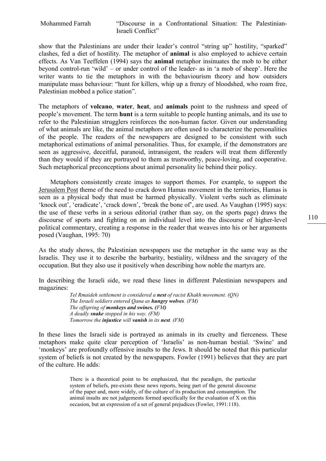show that the Palestinians are under their leader's control "string up" hostility, "sparked" clashes, fed a diet of hostility. The metaphor of animal is also employed to achieve certain effects. As Van Teeffelen (1994) says the animal metaphor insinuates the mob to be either beyond control-run 'wild' – or under control of the leader- as in 'a mob of sheep'. Here the writer wants to tie the metaphors in with the behaviourism theory and how outsiders manipulate mass behaviour: "hunt for killers, whip up a frenzy of bloodshed, who roam free, Palestinian mobbed a police station".

The metaphors of volcano, water, heat, and animals point to the rushness and speed of people's movement. The term hunt is a term suitable to people hunting animals, and its use to refer to the Palestinian strugglers reinforces the non-human factor. Given our understanding of what animals are like, the animal metaphors are often used to characterize the personalities of the people. The readers of the newspapers are designed to be consistent with such metaphorical estimations of animal personalities. Thus, for example, if the demonstrators are seen as aggressive, deceitful, paranoid, intransigent, the readers will treat them differently than they would if they are portrayed to them as trustworthy, peace-loving, and cooperative. Such metaphorical preconceptions about animal personality lie behind their policy.

 Metaphors consistently create images to support themes. For example, to support the Jerusalem Post theme of the need to crack down Hamas movement in the territories, Hamas is seen as a physical body that must be harmed physically. Violent verbs such as eliminate 'knock out', 'eradicate', 'crack down', 'break the bone of', are used. As Vaughan (1995) says: the use of these verbs in a serious editorial (rather than say, on the sports page) draws the discourse of sports and fighting on an individual level into the discourse of higher-level political commentary, creating a response in the reader that weaves into his or her arguments posed (Vaughan, 1995: 70)

As the study shows, the Palestinian newspapers use the metaphor in the same way as the Israelis. They use it to describe the barbarity, bestiality, wildness and the savagery of the occupation. But they also use it positively when describing how noble the martyrs are.

In describing the Israeli side, we read these lines in different Palestinian newspapers and magazines:

> Tel Rmaideh settlement is considered a nest of racist Khakh movement. (QN) The Israeli soldiers entered Qana as hungry wolves. (FM) The offspring of monkeys and swines. (FM) A deadly snake stopped in his way. (FM) Tomorrow the injustice will vanish in its nest. (FM)

In these lines the Israeli side is portrayed as animals in its cruelty and fierceness. These metaphors make quite clear perception of 'Israelis' as non-human bestial. 'Swine' and 'monkeys' are profoundly offensive insults to the Jews. It should be noted that this particular system of beliefs is not created by the newspapers. Fowler (1991) believes that they are part of the culture. He adds:

> There is a theoretical point to be emphasized, that the paradigm, the particular system of beliefs, pre-exists these news reports, being part of the general discourse of the paper and, more widely, of the culture of its production and consumption. The animal insults are not judgements formed specifically for the evaluation of X on this occasion, but an expression of a set of general prejudices (Fowler, 1991:118).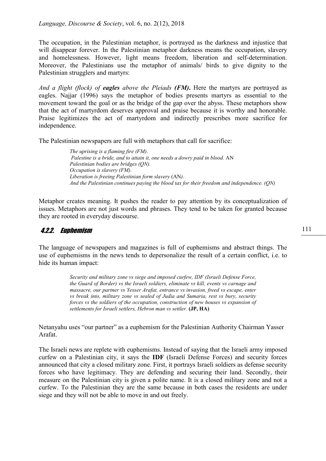The occupation, in the Palestinian metaphor, is portrayed as the darkness and injustice that will disappear forever. In the Palestinian metaphor darkness means the occupation, slavery and homelessness. However, light means freedom, liberation and self-determination. Moreover, the Palestinians use the metaphor of animals/ birds to give dignity to the Palestinian strugglers and martyrs:

And a flight (flock) of **eagles** above the Pleiads  $(FM)$ . Here the martyrs are portrayed as eagles. Najjar (1996) says the metaphor of bodies presents martyrs as essential to the movement toward the goal or as the bridge of the gap over the abyss. These metaphors show that the act of martyrdom deserves approval and praise because it is worthy and honorable. Praise legitimizes the act of martyrdom and indirectly prescribes more sacrifice for independence.

The Palestinian newspapers are full with metaphors that call for sacrifice:

The uprising is a flaming fire (FM). Palestine is a bride, and to attain it, one needs a dowry paid in blood. AN Palestinian bodies are bridges (QN). Occupation is slavery (FM). Liberation is freeing Palestinian form slavery (AN). And the Palestinian continues paying the blood tax for their freedom and independence. (QN)

Metaphor creates meaning. It pushes the reader to pay attention by its conceptualization of issues. Metaphors are not just words and phrases. They tend to be taken for granted because they are rooted in everyday discourse.

# 4.2.2. Euphemism

The language of newspapers and magazines is full of euphemisms and abstract things. The use of euphemisms in the news tends to depersonalize the result of a certain conflict, i.e. to hide its human impact:

> Security and military zone vs siege and imposed curfew, IDF (Israeli Defense Force, the Guard of Border) vs the Israeli soldiers, eliminate vs kill, events vs carnage and massacre, our partner vs Yesser Arafat, entrance vs invasion, freed vs escape, enter vs break into, military zone vs sealed of Judia and Sumaria, rest vs bury, security forces vs the soldiers of the occupation, construction of new houses vs expansion of settlements for Israeli settlers, Hebron man vs settler. (JP, HA)

Netanyahu uses "our partner" as a euphemism for the Palestinian Authority Chairman Yasser Arafat.

The Israeli news are replete with euphemisms. Instead of saying that the Israeli army imposed curfew on a Palestinian city, it says the IDF (Israeli Defense Forces) and security forces announced that city a closed military zone. First, it portrays Israeli soldiers as defense security forces who have legitimacy. They are defending and securing their land. Secondly, their measure on the Palestinian city is given a polite name. It is a closed military zone and not a curfew. To the Palestinian they are the same because in both cases the residents are under siege and they will not be able to move in and out freely.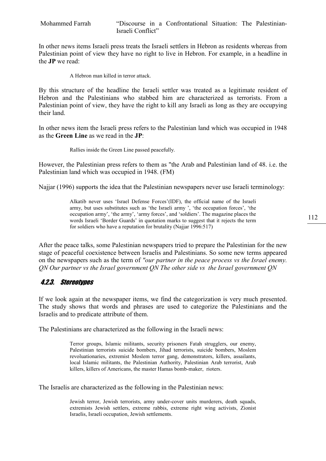In other news items Israeli press treats the Israeli settlers in Hebron as residents whereas from Palestinian point of view they have no right to live in Hebron. For example, in a headline in the JP we read:

A Hebron man killed in terror attack.

By this structure of the headline the Israeli settler was treated as a legitimate resident of Hebron and the Palestinians who stabbed him are characterized as terrorists. From a Palestinian point of view, they have the right to kill any Israeli as long as they are occupying their land.

In other news item the Israeli press refers to the Palestinian land which was occupied in 1948 as the Green Line as we read in the JP:

Rallies inside the Green Line passed peacefully.

However, the Palestinian press refers to them as "the Arab and Palestinian land of 48. i.e. the Palestinian land which was occupied in 1948. (FM)

Najjar (1996) supports the idea that the Palestinian newspapers never use Israeli terminology:

Alkatib never uses 'Israel Defense Forces'(IDF), the official name of the Israeli army, but uses substitutes such as 'the Israeli army ', 'the occupation forces', 'the occupation army', 'the army', 'army forces', and 'soldiers'. The magazine places the words Israeli 'Border Guards' in quotation marks to suggest that it rejects the term for soldiers who have a reputation for brutality (Najjar 1996:517)

After the peace talks, some Palestinian newspapers tried to prepare the Palestinian for the new stage of peaceful coexistence between Israelis and Palestinians. So some new terms appeared on the newspapers such as the term of "our partner in the peace process vs the Israel enemy. QN Our partner vs the Israel government QN The other side vs the Israel government QN

# 4.2.3. Stereotypes

If we look again at the newspaper items, we find the categorization is very much presented. The study shows that words and phrases are used to categorize the Palestinians and the Israelis and to predicate attribute of them.

The Palestinians are characterized as the following in the Israeli news:

Terror groups, Islamic militants, security prisoners Fatah strugglers, our enemy, Palestinian terrorists suicide bombers, Jihad terrorists, suicide bombers, Moslem revoluationaries, extremist Moslem terror gang, demonstrators, killers, assailants, local Islamic militants, the Palestinian Authority, Palestinian Arab terrorist, Arab killers, killers of Americans, the master Hamas bomb-maker, rioters.

The Israelis are characterized as the following in the Palestinian news:

Jewish terror, Jewish terrorists, army under-cover units murderers, death squads, extremists Jewish settlers, extreme rabbis, extreme right wing activists, Zionist Israelis, Israeli occupation, Jewish settlements.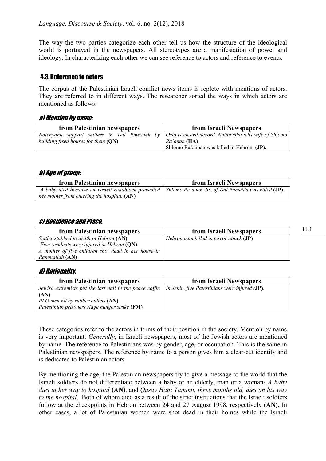The way the two parties categorize each other tell us how the structure of the ideological world is portrayed in the newspapers. All stereotypes are a manifestation of power and ideology. In characterizing each other we can see reference to actors and reference to events.

### 4.3.Reference to actors

The corpus of the Palestinian-Israeli conflict news items is replete with mentions of actors. They are referred to in different ways. The researcher sorted the ways in which actors are mentioned as follows:

### a) Mention by name:

| from Palestinian newspapers           | from Israeli Newspapers                                                                                         |
|---------------------------------------|-----------------------------------------------------------------------------------------------------------------|
|                                       | Natenyahu support settlers in Tell Rmeadeh by $\bigcirc$ Oslo is an evil accord, Natanyahu tells wife of Shlomo |
| building fixed houses for them $(QN)$ | Ra'anan (HA)                                                                                                    |
|                                       | Shlomo Ra'annan was killed in Hebron. (JP).                                                                     |

### b) Age of group:

| from Palestinian newspapers                                                                               | from Israeli Newspapers |
|-----------------------------------------------------------------------------------------------------------|-------------------------|
| A baby died because an Israeli roadblock prevented   Shlomo Ra'anan, 63, of Tell Rumeida was killed (JP). |                         |
| her mother from entering the hospital. (AN)                                                               |                         |

### c) Residence and Place.

| from Palestinian newspapers                         | from Israeli Newspapers                          |
|-----------------------------------------------------|--------------------------------------------------|
| Settler stabbed to death in Hebron (AN)             | Hebron man killed in terror attack ( <b>JP</b> ) |
| Five residents were injured in Hebron (QN).         |                                                  |
| A mother of five children shot dead in her house in |                                                  |
| Rammallah (AN)                                      |                                                  |

### d) Nationality.

| from Palestinian newspapers                                                                                          | from Israeli Newspapers |
|----------------------------------------------------------------------------------------------------------------------|-------------------------|
| Jewish extremists put the last nail in the peace coffin   In Jenin, five Palestinians were injured $(\mathbf{JP})$ . |                         |
| (AN)                                                                                                                 |                         |
| PLO men hit by rubber bullets (AN).                                                                                  |                         |
| Palestinian prisoners stage hunger strike (FM).                                                                      |                         |

These categories refer to the actors in terms of their position in the society. Mention by name is very important. Generally, in Israeli newspapers, most of the Jewish actors are mentioned by name. The reference to Palestinians was by gender, age, or occupation. This is the same in Palestinian newspapers. The reference by name to a person gives him a clear-cut identity and is dedicated to Palestinian actors.

By mentioning the age, the Palestinian newspapers try to give a message to the world that the Israeli soldiers do not differentiate between a baby or an elderly, man or a woman- A baby dies in her way to hospital (AN), and Qusay Hani Tamimi, three months old, dies on his way to the hospital. Both of whom died as a result of the strict instructions that the Israeli soldiers follow at the checkpoints in Hebron between 24 and 27 August 1998, respectively (AN). In other cases, a lot of Palestinian women were shot dead in their homes while the Israeli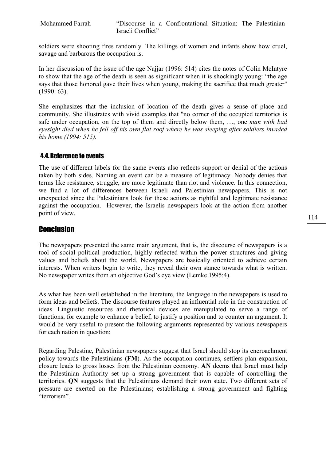soldiers were shooting fires randomly. The killings of women and infants show how cruel, savage and barbarous the occupation is.

In her discussion of the issue of the age Najjar (1996: 514) cites the notes of Colin McIntyre to show that the age of the death is seen as significant when it is shockingly young: "the age says that those honored gave their lives when young, making the sacrifice that much greater" (1990: 63).

She emphasizes that the inclusion of location of the death gives a sense of place and community. She illustrates with vivid examples that "no corner of the occupied territories is safe under occupation, on the top of them and directly below them, …, one man with bad eyesight died when he fell off his own flat roof where he was sleeping after soldiers invaded his home (1994: 515).

### 4.4.Reference to events

The use of different labels for the same events also reflects support or denial of the actions taken by both sides. Naming an event can be a measure of legitimacy. Nobody denies that terms like resistance, struggle, are more legitimate than riot and violence. In this connection, we find a lot of differences between Israeli and Palestinian newspapers. This is not unexpected since the Palestinians look for these actions as rightful and legitimate resistance against the occupation. However, the Israelis newspapers look at the action from another point of view.

# **Conclusion**

The newspapers presented the same main argument, that is, the discourse of newspapers is a tool of social political production, highly reflected within the power structures and giving values and beliefs about the world. Newspapers are basically oriented to achieve certain interests. When writers begin to write, they reveal their own stance towards what is written. No newspaper writes from an objective God's eye view (Lemke 1995:4).

As what has been well established in the literature, the language in the newspapers is used to form ideas and beliefs. The discourse features played an influential role in the construction of ideas. Linguistic resources and rhetorical devices are manipulated to serve a range of functions, for example to enhance a belief, to justify a position and to counter an argument. It would be very useful to present the following arguments represented by various newspapers for each nation in question:

Regarding Palestine, Palestinian newspapers suggest that Israel should stop its encroachment policy towards the Palestinians (FM). As the occupation continues, settlers plan expansion, closure leads to gross losses from the Palestinian economy. AN deems that Israel must help the Palestinian Authority set up a strong government that is capable of controlling the territories. QN suggests that the Palestinians demand their own state. Two different sets of pressure are exerted on the Palestinians; establishing a strong government and fighting "terrorism".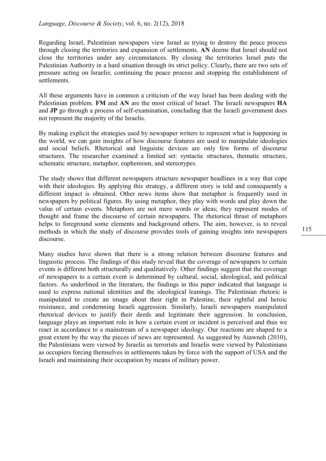Regarding Israel, Palestinian newspapers view Israel as trying to destroy the peace process through closing the territories and expansion of settlements. AN deems that Israel should not close the territories under any circumstances. By closing the territories Israel puts the Palestinian Authority in a hard situation through its strict policy. Clearly, there are two sets of pressure acting on Israelis; continuing the peace process and stopping the establishment of settlements.

All these arguments have in common a criticism of the way Israel has been dealing with the Palestinian problem. FM and AN are the most critical of Israel. The Israeli newspapers HA and JP go through a process of self-examination, concluding that the Israeli government does not represent the majority of the Israelis.

By making explicit the strategies used by newspaper writers to represent what is happening in the world, we can gain insights of how discourse features are used to manipulate ideologies and social beliefs. Rhetorical and linguistic devices are only few forms of discourse structures. The researcher examined a limited set: syntactic structures, thematic structure, schematic structure, metaphor, euphemism, and stereotypes.

The study shows that different newspapers structure newspaper headlines in a way that cope with their ideologies. By applying this strategy, a different story is told and consequently a different impact is obtained. Other news items show that metaphor is frequently used in newspapers by political figures. By using metaphor, they play with words and play down the value of certain events. Metaphors are not mere words or ideas; they represent modes of thought and frame the discourse of certain newspapers. The rhetorical thrust of metaphors helps to foreground some elements and background others. The aim, however, is to reveal methods in which the study of discourse provides tools of gaining insights into newspapers discourse.

Many studies have shown that there is a strong relation between discourse features and linguistic process. The findings of this study reveal that the coverage of newspapers to certain events is different both structurally and qualitatively. Other findings suggest that the coverage of newspapers to a certain event is determined by cultural, social, ideological, and political factors. As underlined in the literature, the findings in this paper indicated that language is used to express national identities and the ideological leanings. The Palestinian rhetoric is manipulated to create an image about their right in Palestine, their rightful and heroic resistance, and condemning Israeli aggression. Similarly, Israeli newspapers manipulated rhetorical devices to justify their deeds and legitimate their aggression. In conclusion, language plays an important role in how a certain event or incident is perceived and thus we react in accordance to a mainstream of a newspaper ideology. Our reactions are shaped to a great extent by the way the pieces of news are represented. As suggested by Atawneh (2010), the Palestinians were viewed by Israelis as terrorists and Israelis were viewed by Palestinians as occupiers forcing themselves in settlements taken by force with the support of USA and the Israeli and maintaining their occupation by means of military power.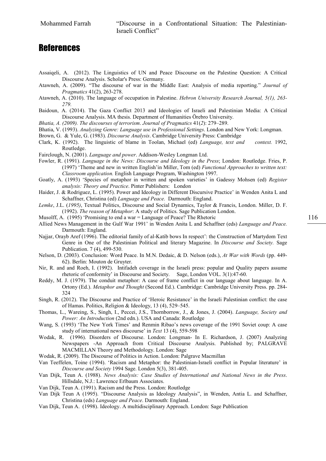# **References**

- Assaiqeli, A. (2012). The Linguistics of UN and Peace Discourse on the Palestine Question: A Critical Discourse Analysis. Scholar's Press: Germany.
- Atawneh, A. (2009). "The discourse of war in the Middle East: Analysis of media reporting." Journal of Pragmatics 41(2), 263-278.
- Atawneh, A. (2010). The language of occupation in Palestine. Hebron University Research Journal, 5(1), 263- 279.
- Baidoun, A. (2014). The Gaza Conflict 2013 and Ideologies of Israeli and Palestinian Media: A Critical Discourse Analysis. MA thesis. Department of Humanities Örebro University.
- Bhatia, A. (2009). The discourses of terrorism. Journal of Pragmatics 41(2): 279–289.
- Bhatia, V. (1993). Analyzing Genre: Language use in Professional Settings. London and New York: Longman.
- Brown, G. & Yule, G. (1983). Discourse Analysis. Cambridge University Press: Cambridge
- Clark, K. (1992). The linguistic of blame in Toolan, Michael (ed) Language, text and context. 1992, Routledge.
- Fairclough, N. (2001). Language and power. Addison-Wesley Longman Ltd.
- Fowler, R. (1991). Language in the News: Discourse and Ideology in the Press; London: Routledge. Fries, P. (1997) 'Theme and new in written English'in Miller, Tom (ed) Functional Approaches to written text: Classroom application. English Language Program, Washington 1997.
- Goatly, A. (1993) 'Species of metaphor in written and spoken varieties' in Gadessy Mohsen (ed) Register analysis: Theory and Practice. Pinter Publishers: London
- Haider, J. & Rodriguez, L. (1995). Power and Ideology in Different Discursive Practice' in Wenden Anita L and Schaffner, Christina (ed) Language and Peace. Darmouth: England.
- Lemke, J.L. (1995), Textual Politics, Discourse and Social Dynamics, Taylor & Francis, London. Miller, D. F. (1992). The reason of Metaphor: A study of Politics. Sage Publication London.
- Musolff, A. (1995) 'Promising to end a war = Language of Peace? The Rhetoric
- Allied News Management in the Gulf War 1991' in Wenden Anita L and Schaffner (eds) Language and Peace. Darmouth: England.
- Najjar, Orayb Aref (1996). The editorial family of al-Katib bows In respect': the Construction of Martydom Text Genre in One of the Palestinian Political and literary Magazine. In Discourse and Society. Sage Publication. 7 (4), 499-530.
- Nelson, D. (2003). Conclusion: Word Peace. In M.N. Dedaic, & D. Nelson (eds.), At War with Words (pp. 449- 62). Berlin: Mouton de Gruyter.
- Nir, R. and and Roeh, I. (1992). Intifadeh coverage in the Israeli press: popular and Quality papers assume rhetoric of conformity' in Discourse and Society. Sage, London VOL. 3(1):47-60.
- Reddy, M. J. (1979). The conduit metaphor: A case of frame conflict in our language about language. In A. Ortony (Ed.). Metaphor and Thought (Second Ed.). Cambridge: Cambridge University Press. pp. 284- 324
- Singh, R. (2012). The Discourse and Practice of 'Heroic Resistance' in the Israeli Palestinian conflict: the case of Hamas. Politics, Religion & Ideology, 13 (4), 529–545.
- Thomas, L., Wareing, S., Singh, I., Peccei, J.S., Thornborrow, J., & Jones, J. (2004). Language, Society and Power: An Introduction (2nd edn.). USA and Canada: Routledge
- Wang, S. (1993) 'The New York Times' and Renmin Ribao's news coverage of the 1991 Soviet coup: A case study of international news discourse' in Text 13 (4), 559-598
- Wodak, R. (1996). Disorders of Discourse. London: Longman- In E. Richardson, J. (2007) Analyzing Newspapers -An Approach from Critical Discourse Analysis. Published by; PALGRAVE MACMILLAN Theory and Methodology. London: Sage
- Wodak, R. (2009). The Discourse of Politics in Action. London: Palgrave Macmillan
- Van Teeffelen, Toine (1994). 'Racism and Metaphor: the Palestinian-Israeli conflict in Popular literature' in Discourse and Society 1994 Sage. London 5(3), 381-405.
- Van Dijk, Teun A. (1988). News Analysis: Case Studies of International and National News in the Press. Hillsdale, N.J.: Lawrence Erlbaum Associates.
- Van Dijk, Teun A. (1991). Racism and the Press. London: Routledge
- Van Dijk Teun A (1995). "Discourse Analysis as Ideology Analysis", in Wenden, Antia L. and Schaffner, Christina (eds) Language and Peace. Darmouth: England.
- Van Dijk, Teun A. (1998). Ideology. A multidisciplinary Approach. London: Sage Publication